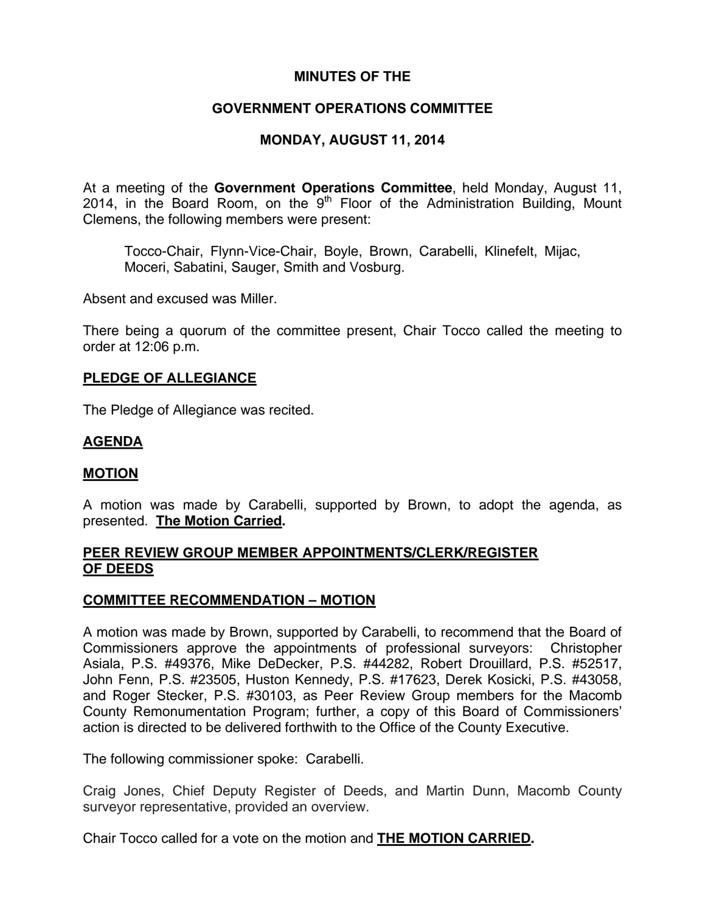## **MINUTES OF THE**

# **GOVERNMENT OPERATIONS COMMITTEE**

# **MONDAY, AUGUST 11, 2014**

At a meeting of the **Government Operations Committee**, held Monday, August 11, 2014, in the Board Room, on the  $9<sup>th</sup>$  Floor of the Administration Building, Mount Clemens, the following members were present:

Tocco-Chair, Flynn-Vice-Chair, Boyle, Brown, Carabelli, Klinefelt, Mijac, Moceri, Sabatini, Sauger, Smith and Vosburg.

Absent and excused was Miller.

There being a quorum of the committee present, Chair Tocco called the meeting to order at 12:06 p.m.

### **PLEDGE OF ALLEGIANCE**

The Pledge of Allegiance was recited.

## **AGENDA**

### **MOTION**

A motion was made by Carabelli, supported by Brown, to adopt the agenda, as presented. **The Motion Carried.** 

### **PEER REVIEW GROUP MEMBER APPOINTMENTS/CLERK/REGISTER OF DEEDS**

### **COMMITTEE RECOMMENDATION – MOTION**

A motion was made by Brown, supported by Carabelli, to recommend that the Board of Commissioners approve the appointments of professional surveyors: Christopher Asiala, P.S. #49376, Mike DeDecker, P.S. #44282, Robert Drouillard, P.S. #52517, John Fenn, P.S. #23505, Huston Kennedy, P.S. #17623, Derek Kosicki, P.S. #43058, and Roger Stecker, P.S. #30103, as Peer Review Group members for the Macomb County Remonumentation Program; further, a copy of this Board of Commissioners' action is directed to be delivered forthwith to the Office of the County Executive.

The following commissioner spoke: Carabelli.

Craig Jones, Chief Deputy Register of Deeds, and Martin Dunn, Macomb County surveyor representative, provided an overview.

Chair Tocco called for a vote on the motion and **THE MOTION CARRIED.**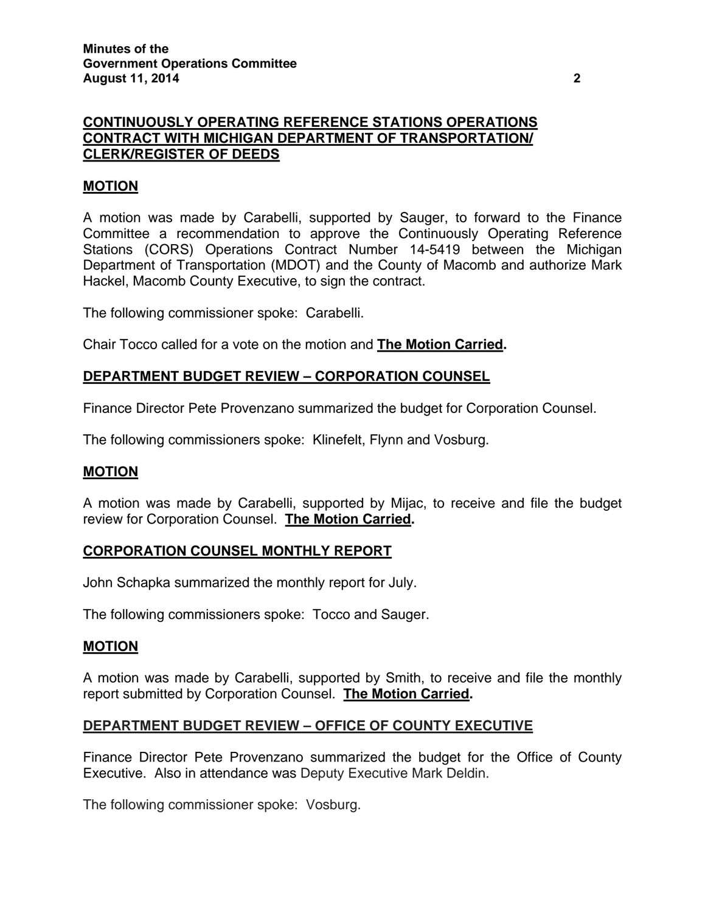# **CONTINUOUSLY OPERATING REFERENCE STATIONS OPERATIONS CONTRACT WITH MICHIGAN DEPARTMENT OF TRANSPORTATION/ CLERK/REGISTER OF DEEDS**

# **MOTION**

A motion was made by Carabelli, supported by Sauger, to forward to the Finance Committee a recommendation to approve the Continuously Operating Reference Stations (CORS) Operations Contract Number 14-5419 between the Michigan Department of Transportation (MDOT) and the County of Macomb and authorize Mark Hackel, Macomb County Executive, to sign the contract.

The following commissioner spoke: Carabelli.

Chair Tocco called for a vote on the motion and **The Motion Carried.** 

## **DEPARTMENT BUDGET REVIEW – CORPORATION COUNSEL**

Finance Director Pete Provenzano summarized the budget for Corporation Counsel.

The following commissioners spoke: Klinefelt, Flynn and Vosburg.

### **MOTION**

A motion was made by Carabelli, supported by Mijac, to receive and file the budget review for Corporation Counsel. **The Motion Carried.** 

### **CORPORATION COUNSEL MONTHLY REPORT**

John Schapka summarized the monthly report for July.

The following commissioners spoke: Tocco and Sauger.

### **MOTION**

A motion was made by Carabelli, supported by Smith, to receive and file the monthly report submitted by Corporation Counsel. **The Motion Carried.** 

### **DEPARTMENT BUDGET REVIEW – OFFICE OF COUNTY EXECUTIVE**

Finance Director Pete Provenzano summarized the budget for the Office of County Executive. Also in attendance was Deputy Executive Mark Deldin.

The following commissioner spoke: Vosburg.